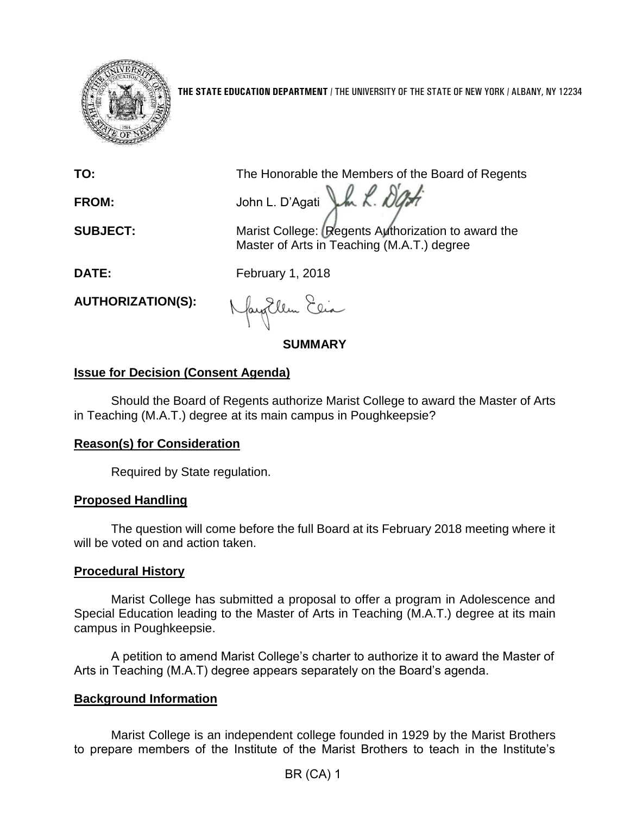

**THE STATE EDUCATION DEPARTMENT** / THE UNIVERSITY OF THE STATE OF NEW YORK / ALBANY, NY 12234

**TO:** The Honorable the Members of the Board of Regents

**FROM:** John L. D'Agati LA X. DL

**SUBJECT:** Marist College: Regents Authorization to award the Master of Arts in Teaching (M.A.T.) degree

**DATE:** February 1, 2018

**AUTHORIZATION(S):**

fayEllen Elia

**SUMMARY**

# **Issue for Decision (Consent Agenda)**

Should the Board of Regents authorize Marist College to award the Master of Arts in Teaching (M.A.T.) degree at its main campus in Poughkeepsie?

## **Reason(s) for Consideration**

Required by State regulation.

### **Proposed Handling**

The question will come before the full Board at its February 2018 meeting where it will be voted on and action taken.

## **Procedural History**

Marist College has submitted a proposal to offer a program in Adolescence and Special Education leading to the Master of Arts in Teaching (M.A.T.) degree at its main campus in Poughkeepsie.

A petition to amend Marist College's charter to authorize it to award the Master of Arts in Teaching (M.A.T) degree appears separately on the Board's agenda.

## **Background Information**

Marist College is an independent college founded in 1929 by the Marist Brothers to prepare members of the Institute of the Marist Brothers to teach in the Institute's